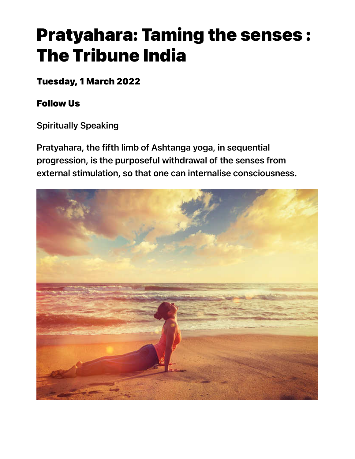# Pratyahara: Taming the senses : The Tribune India

Tuesday, 1 March 2022

Follow Us

Spiritually Speaking

Pratyahara, the fifth limb of Ashtanga yoga, in sequential progression, is the purposeful withdrawal of the senses from external stimulation, so that one can internalise consciousness.

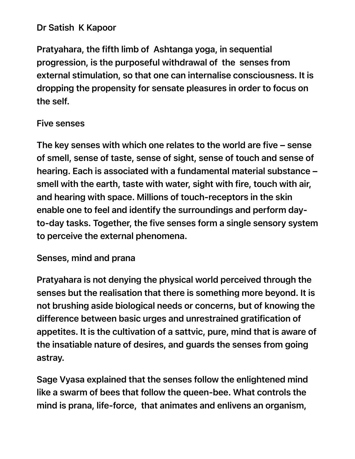### Dr Satish K Kapoor

Pratyahara, the fifth limb of Ashtanga yoga, in sequential progression, is the purposeful withdrawal of the senses from external stimulation, so that one can internalise consciousness. It is dropping the propensity for sensate pleasures in order to focus on the self.

#### Five senses

The key senses with which one relates to the world are five – sense of smell, sense of taste, sense of sight, sense of touch and sense of hearing. Each is associated with a fundamental material substance – smell with the earth, taste with water, sight with fire, touch with air, and hearing with space. Millions of touch-receptors in the skin enable one to feel and identify the surroundings and perform dayto-day tasks. Together, the five senses form a single sensory system to perceive the external phenomena.

#### Senses, mind and prana

Pratyahara is not denying the physical world perceived through the senses but the realisation that there is something more beyond. It is not brushing aside biological needs or concerns, but of knowing the difference between basic urges and unrestrained gratification of appetites. It is the cultivation of a sattvic, pure, mind that is aware of the insatiable nature of desires, and guards the senses from going astray.

Sage Vyasa explained that the senses follow the enlightened mind like a swarm of bees that follow the queen-bee. What controls the mind is prana, life-force, that animates and enlivens an organism,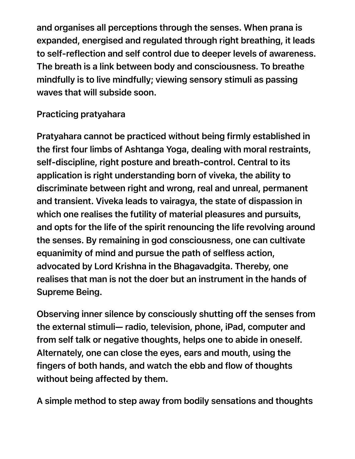and organises all perceptions through the senses. When prana is expanded, energised and regulated through right breathing, it leads to self-reflection and self control due to deeper levels of awareness. The breath is a link between body and consciousness. To breathe mindfully is to live mindfully; viewing sensory stimuli as passing waves that will subside soon.

## Practicing pratyahara

Pratyahara cannot be practiced without being firmly established in the first four limbs of Ashtanga Yoga, dealing with moral restraints, self-discipline, right posture and breath-control. Central to its application is right understanding born of viveka, the ability to discriminate between right and wrong, real and unreal, permanent and transient. Viveka leads to vairagya, the state of dispassion in which one realises the futility of material pleasures and pursuits, and opts for the life of the spirit renouncing the life revolving around the senses. By remaining in god consciousness, one can cultivate equanimity of mind and pursue the path of selfless action, advocated by Lord Krishna in the Bhagavadgita. Thereby, one realises that man is not the doer but an instrument in the hands of Supreme Being.

Observing inner silence by consciously shutting off the senses from the external stimuli— radio, television, phone, iPad, computer and from self talk or negative thoughts, helps one to abide in oneself. Alternately, one can close the eyes, ears and mouth, using the fingers of both hands, and watch the ebb and flow of thoughts without being affected by them.

A simple method to step away from bodily sensations and thoughts